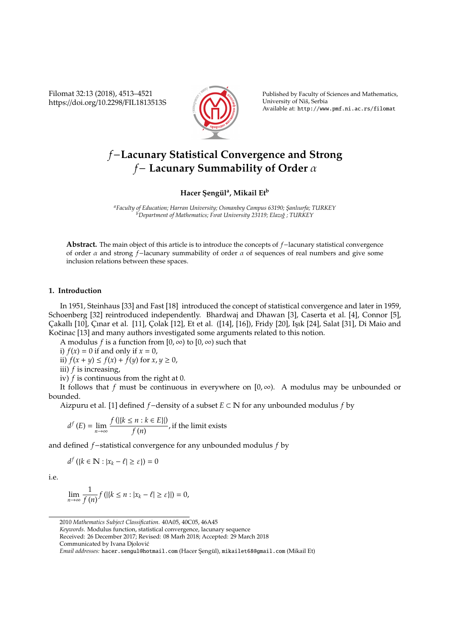Filomat 32:13 (2018), 4513–4521 https://doi.org/10.2298/FIL1813513S



Published by Faculty of Sciences and Mathematics, University of Niš, Serbia Available at: http://www.pmf.ni.ac.rs/filomat

# *f*−**Lacunary Statistical Convergence and Strong** *f*− **Lacunary Summability of Order** α

## **Hacer S¸ eng ¨ul<sup>a</sup> , Mikail Et<sup>b</sup>**

<sup>a</sup>Faculty of Education; Harran University; Osmanbey Campus 63190; Şanlıurfa; TURKEY <sup>b</sup><br><sup>b</sup>Department of Mathematics; Fırat University 23119; Elazığ ; TURKEY

**Abstract.** The main object of this article is to introduce the concepts of *f*−lacunary statistical convergence of order α and strong *f*−lacunary summability of order α of sequences of real numbers and give some inclusion relations between these spaces.

#### **1. Introduction**

In 1951, Steinhaus [33] and Fast [18] introduced the concept of statistical convergence and later in 1959, Schoenberg [32] reintroduced independently. Bhardwaj and Dhawan [3], Caserta et al. [4], Connor [5], Çakallı [10], Çınar et al. [11], Çolak [12], Et et al. ([14], [16]), Fridy [20], Işık [24], Salat [31], Di Maio and Kočinac [13] and many authors investigated some arguments related to this notion.

A modulus *f* is a function from  $[0, \infty)$  to  $[0, \infty)$  such that

i)  $f(x) = 0$  if and only if  $x = 0$ ,

ii)  $f(x + y) \leq f(x) + f(y)$  for  $x, y \geq 0$ ,

iii) *f* is increasing,

iv) *f* is continuous from the right at 0.

It follows that *f* must be continuous in everywhere on  $[0, \infty)$ . A modulus may be unbounded or bounded.

Aizpuru et al. [1] defined *f*−density of a subset *E* ⊂ N for any unbounded modulus *f* by

$$
d^{f}(E) = \lim_{n \to \infty} \frac{f(|\{k \le n : k \in E\}|)}{f(n)},
$$
 if the limit exists

and defined *f*−statistical convergence for any unbounded modulus *f* by

 $d^f$  ({ $k \in \mathbb{N} : |x_k - \ell| \ge \varepsilon$ }) = 0

i.e.

$$
\lim_{n\to\infty}\frac{1}{f(n)}f\left(\left|\{k\leq n : |x_k-\ell|\geq \varepsilon\}\right|\right)=0,
$$

*Keywords*. Modulus function, statistical convergence, lacunary sequence

Received: 26 December 2017; Revised: 08 Marh 2018; Accepted: 29 March 2018

Communicated by Ivana Djolovic´

<sup>2010</sup> *Mathematics Subject Classification*. 40A05, 40C05, 46A45

*Email addresses:* hacer.sengul@hotmail.com (Hacer Şengül), mikailet68@gmail.com (Mikail Et)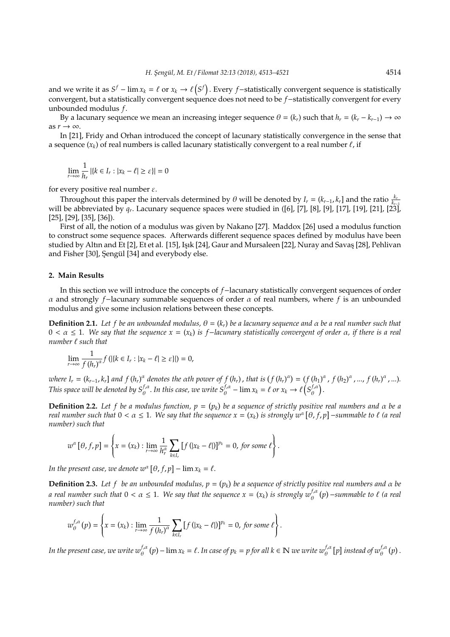and we write it as  $S^f$  – lim  $x_k = \ell$  or  $x_k \to \ell(S^f)$ . Every *f*-statistically convergent sequence is statistically convergent, but a statistically convergent sequence does not need to be *f*−statistically convergent for every unbounded modulus *f*.

By a lacunary sequence we mean an increasing integer sequence  $\theta = (k_r)$  such that  $h_r = (k_r - k_{r-1}) \to \infty$ as  $r \rightarrow \infty$ .

In [21], Fridy and Orhan introduced the concept of lacunary statistically convergence in the sense that a sequence  $(x_k)$  of real numbers is called lacunary statistically convergent to a real number  $\ell$ , if

$$
\lim_{r\to\infty}\frac{1}{h_r}\left|\left\{k\in I_r: |x_k-\ell|\geq \varepsilon\right\}\right|=0
$$

for every positive real number  $\varepsilon$ .

Throughout this paper the intervals determined by  $\theta$  will be denoted by  $I_r = (k_{r-1}, k_r]$  and the ratio  $\frac{k_r}{k_{r-1}}$ will be abbreviated by *q<sup>r</sup>* . Lacunary sequence spaces were studied in ([6], [7], [8], [9], [17], [19], [21], [23], [25], [29], [35], [36]).

First of all, the notion of a modulus was given by Nakano [27]. Maddox [26] used a modulus function to construct some sequence spaces. Afterwards different sequence spaces defined by modulus have been studied by Altın and Et [2], Et et al. [15], Işık [24], Gaur and Mursaleen [22], Nuray and Savaş [28], Pehlivan and Fisher [30], Şengül [34] and everybody else.

#### **2. Main Results**

In this section we will introduce the concepts of *f*−lacunary statistically convergent sequences of order α and strongly *f*−lacunary summable sequences of order α of real numbers, where *f* is an unbounded modulus and give some inclusion relations between these concepts.

**Definition 2.1.** Let f be an unbounded modulus,  $\theta = (k_r)$  be a lacunary sequence and  $\alpha$  be a real number such that 0 < α ≤ 1*. We say that the sequence x* = (*x<sup>k</sup>* ) *is f*−*lacunary statistically convergent of order* α*, if there is a real number*  $\ell$  *such that* 

$$
\lim_{r\to\infty}\frac{1}{f(h_r)^{\alpha}}f\left(\left|\{k\in I_r:|x_k-\ell|\geq \varepsilon\}\right|\right)=0,
$$

where  $I_r = (k_{r-1}, k_r]$  and  $f(h_r)^\alpha$  denotes the  $\alpha$ th power of  $f(h_r)$ , that is  $(f(h_r)^\alpha) = (f(h_1)^\alpha, f(h_2)^\alpha, \dots, f(h_r)^\alpha, \dots)$ . *This space will be denoted by*  $S_\theta^{f,a}$ *. In this case, we write*  $S_\theta^{f,a}$  *–*  $\lim x_k = \ell$  *or*  $x_k \to \ell \left( S_\theta^{f,a} \right)$  $_{\theta}^{f,\alpha}$ ).

**Definition 2.2.** Let f be a modulus function,  $p = (p_k)$  be a sequence of strictly positive real numbers and  $\alpha$  be a *real number such that*  $0 < \alpha \le 1$ . We say that the sequence  $x = (x_k)$  is strongly  $w^\alpha [\theta, f, p]$  –summable to  $\ell$  (a real *number) such that*

$$
w^{\alpha}\left[\theta,f,p\right]=\left\{x=(x_k):\lim_{r\to\infty}\frac{1}{h_r^{\alpha}}\sum_{k\in I_r}\left[f\left(|x_k-\ell|\right)\right]^{p_k}=0,\ \text{for some}\ \ell\right\}.
$$

*In the present case, we denote*  $w^{\alpha}$   $[\theta, f, p] - \lim x_k = \ell$ .

**Definition 2.3.** Let f be an unbounded modulus,  $p = (p_k)$  be a sequence of strictly positive real numbers and  $\alpha$  be *a real number such that*  $0 < \alpha \le 1$ . We say that the sequence  $x = (x_k)$  is strongly  $w_{\theta}^{f,\alpha}(p)$  –summable to  $\ell$  (a real *number) such that*

$$
w_{\theta}^{f,\alpha}(p) = \left\{x = (x_k): \lim_{r \to \infty} \frac{1}{f(h_r)^{\alpha}} \sum_{k \in I_r} [f(|x_k - \ell|)]^{p_k} = 0, \text{ for some } \ell \right\}.
$$

In the present case, we write  $w_\theta^{f,\alpha}(p)-\lim x_k=\ell.$  In case of  $p_k=p$  for all  $k\in\mathbb N$  we write  $w_\theta^{f,\alpha}[p]$  instead of  $w_\theta^{f,\alpha}(p)$  .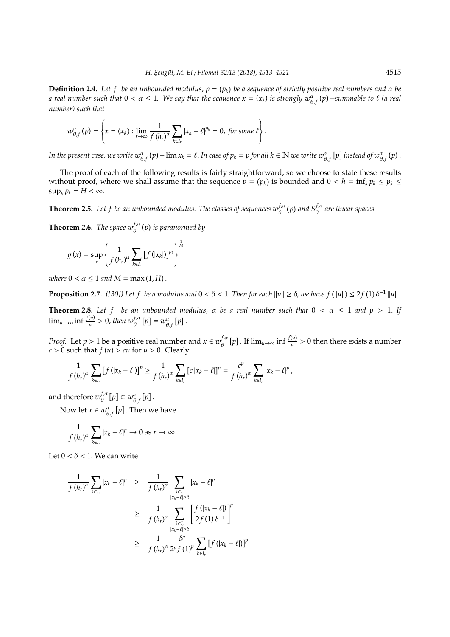**Definition 2.4.** Let f be an unbounded modulus,  $p = (p_k)$  be a sequence of strictly positive real numbers and  $\alpha$  be *a real number such that*  $0 < \alpha \le 1$ . We say that the sequence  $x = (x_k)$  is strongly  $w_{\theta,f}^{\alpha}(p)$  –summable to  $\ell$  (a real *number) such that*

$$
w_{\theta,f}^{\alpha}\left(p\right)=\left\{x=(x_k): \lim_{r\to\infty}\frac{1}{f\left(h_r\right)^{\alpha}}\sum_{k\in I_r}|x_k-\ell|^{p_k}=0\text{, for some }\ell\right\}.
$$

In the present case, we write  $w_{\theta,f}^{\alpha}(p) - \lim x_k = \ell$ . In case of  $p_k = p$  for all  $k \in \mathbb{N}$  we write  $w_{\theta,f}^{\alpha}(p)$  instead of  $w_{\theta,f}^{\alpha}(p)$ .

The proof of each of the following results is fairly straightforward, so we choose to state these results without proof, where we shall assume that the sequence  $p = (p_k)$  is bounded and  $0 < h = \inf_k p_k \le p_k \le$  $\sup_k p_k = H < \infty$ .

**Theorem 2.5.** Let f be an unbounded modulus. The classes of sequences  $w_{\theta}^{f,\alpha}(p)$  and  $S_{\theta}^{f,\alpha}$  are linear spaces.

**Theorem 2.6.** *The space*  $w_{\theta}^{f,\alpha}(p)$  *is paranormed by* 

$$
g(x) = \sup_{r} \left\{ \frac{1}{f(h_r)^{\alpha}} \sum_{k \in I_r} [f(|x_k|)]^{p_k} \right\}^{\frac{1}{M}}
$$

*where*  $0 < \alpha \leq 1$  *and*  $M = \max(1, H)$ .

**Proposition 2.7.** ([30]) Let f be a modulus and  $0 < \delta < 1$ . Then for each  $||u|| \ge \delta$ , we have f ( $||u|| \le 2f(1)\delta^{-1}||u||$ .

**Theorem 2.8.** Let f be an unbounded modulus,  $\alpha$  be a real number such that  $0 < \alpha \le 1$  and  $p > 1$ . If  $\lim_{u\to\infty}\inf \frac{f(u)}{u}>0$ , then  $w_{\theta}^{f,\alpha}\left[p\right]=w_{\theta,f}^{\alpha}\left[p\right].$ 

*Proof.* Let  $p > 1$  be a positive real number and  $x \in w_{\theta}^{f, \alpha}$  $\int_{\theta}^{f,a} [p]$ . If  $\lim_{u \to \infty} \inf \frac{f(u)}{u} > 0$  then there exists a number  $c > 0$  such that  $f(u) > cu$  for  $u > 0$ . Clearly

$$
\frac{1}{f(h_r)^{\alpha}}\sum_{k\in I_r}\left[f(|x_k-\ell|)\right]^p\geq \frac{1}{f(h_r)^{\alpha}}\sum_{k\in I_r}\left[c|x_k-\ell|\right]^p=\frac{c^p}{f(h_r)^{\alpha}}\sum_{k\in I_r}|x_k-\ell|^p,
$$

and therefore  $w^{f,a}_{\theta}$  $v_{\theta}^{f,\alpha}[p] \subset w_{\theta,f}^{\alpha}[p].$ 

Now let  $x \in w_{\theta, f}^{\alpha}[p]$  . Then we have

$$
\frac{1}{f(h_r)^{\alpha}}\sum_{k\in I_r}|x_k-\ell|^p\to 0 \text{ as } r\to\infty.
$$

Let  $0 < \delta < 1$ . We can write

$$
\frac{1}{f(h_r)^{\alpha}} \sum_{k \in I_r} |x_k - \ell|^p \geq \frac{1}{f(h_r)^{\alpha}} \sum_{\substack{k \in I_r \\ |x_k - \ell| \geq \delta}} |x_k - \ell|^p
$$
\n
$$
\geq \frac{1}{f(h_r)^{\alpha}} \sum_{\substack{k \in I_r \\ |x_k - \ell| \geq \delta}} \left[ \frac{f(|x_k - \ell|)}{2f(1)\delta^{-1}} \right]^p
$$
\n
$$
\geq \frac{1}{f(h_r)^{\alpha}} \frac{\delta^p}{2^p f(1)^p} \sum_{k \in I_r} [f(|x_k - \ell|)]^p
$$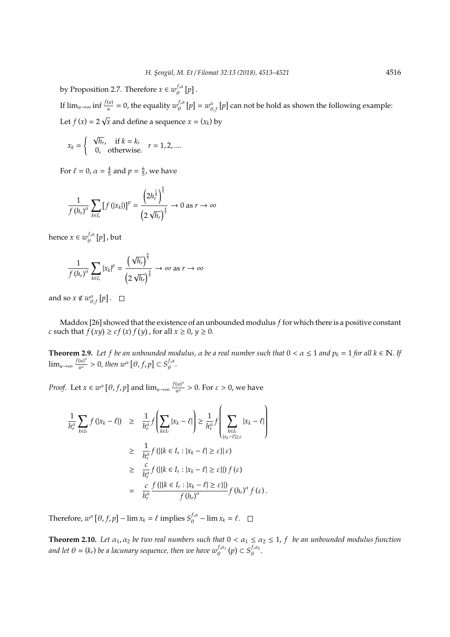by Proposition 2.7. Therefore  $x \in w_{\theta}^{f, \alpha}$  $_{\theta}^{J,\alpha}[p]$ .

If  $\lim_{u\to\infty} \inf \frac{f(u)}{u} = 0$ , the equality  $w_{\theta}^{f,a}$  $\int_{\theta}^{f,\alpha} [p] = w_{\theta,f}^{\alpha} [p]$  can not be hold as shown the following example: Let  $f(x) = 2$ √  $x$  and define a sequence  $x = (x_k)$  by

$$
x_k = \begin{cases} \sqrt{h_r}, & \text{if } k = k_r \\ 0, & \text{otherwise.} \end{cases} \quad r = 1, 2, \dots
$$

For  $\ell = 0$ ,  $\alpha = \frac{4}{5}$  and  $p = \frac{6}{5}$ , we have

$$
\frac{1}{f(h_r)^{\alpha}}\sum_{k\in I_r}\left[f(|x_k|)\right]^{p}=\frac{\left(2h_r^{\frac{1}{4}}\right)^{\frac{\epsilon}{5}}}{\left(2\sqrt{h_r}\right)^{\frac{\epsilon}{5}}}\to 0\text{ as }r\to\infty
$$

hence  $x \in w_{\theta}^{f, \alpha}$  $\int_{\theta}^{f,\alpha} [p]$  , but

$$
\frac{1}{f(h_r)^\alpha}\sum_{k\in I_r}|x_k|^p=\frac{\left(\sqrt{h_r}\right)^{\frac{6}{5}}}{\left(2\sqrt{h_r}\right)^{\frac{4}{5}}}\to\infty\text{ as }r\to\infty
$$

and so  $x \notin w_{\theta, f}^{\alpha}[p]$ .

Maddox [26] showed that the existence of an unbounded modulus *f* for which there is a positive constant *c* such that  $f(xy) \ge cf(x) f(y)$ , for all  $x \ge 0, y \ge 0$ .

**Theorem 2.9.** Let f be an unbounded modulus,  $\alpha$  be a real number such that  $0 < \alpha \le 1$  and  $p_k = 1$  for all  $k \in \mathbb{N}$ . If  $\lim_{u\to\infty}\frac{f(u)^{\alpha}}{u^{\alpha}}$  $\frac{f(u)^{\alpha}}{u^{\alpha}} > 0$ , then  $w^{\alpha} [\theta, f, p] \subset S_{\theta}^{f, \alpha}$ <sub>θ</sub>.

*Proof.* Let  $x \in w^{\alpha}$  [ $\theta$ ,  $f$ ,  $p$ ] and  $\lim_{u \to \infty} \frac{f(u)^{\alpha}}{u^{\alpha}}$  $\frac{u}{u^{\alpha}} > 0$ . For  $\varepsilon > 0$ , we have

$$
\frac{1}{h_r^{\alpha}} \sum_{k \in I_r} f(|x_k - \ell|) \geq \frac{1}{h_r^{\alpha}} f\left(\sum_{k \in I_r} |x_k - \ell|\right) \geq \frac{1}{h_r^{\alpha}} f\left(\sum_{k \in I_r} |x_k - \ell|\right)
$$
\n
$$
\geq \frac{1}{h_r^{\alpha}} f\left(\left|\{k \in I_r : |x_k - \ell| \geq \varepsilon\}\right|\right) \varepsilon\right)
$$
\n
$$
\geq \frac{c}{h_r^{\alpha}} f\left(\left|\{k \in I_r : |x_k - \ell| \geq \varepsilon\}\right|\right) f(\varepsilon)
$$
\n
$$
= \frac{c}{h_r^{\alpha}} \frac{f\left(\left|\{k \in I_r : |x_k - \ell| \geq \varepsilon\}\right|\right)}{f\left(h_r\right)^{\alpha}} f\left(h_r\right)^{\alpha} f(\varepsilon).
$$

Therefore,  $w^{\alpha}$  [ $\theta$ ,  $f$ ,  $p$ ] –  $\lim x_k = \ell$  implies  $S_{\theta}^{f, \alpha}$  $\int_{\theta}^{f,\alpha}$  –  $\lim x_k = \ell$ .

**Theorem 2.10.** *Let*  $\alpha_1$ ,  $\alpha_2$  *be two real numbers such that*  $0 < \alpha_1 \leq \alpha_2 \leq 1$ ,  $f$  *be an unbounded modulus function and let*  $\theta = (k_r)$  *be a lacunary sequence, then we have*  $w_{\theta}^{f, \alpha_1}(p) \subset S_{\theta}^{f, \alpha_2}$  $\overset{\cdot \cdot }{\theta }^{\alpha _{2}}.$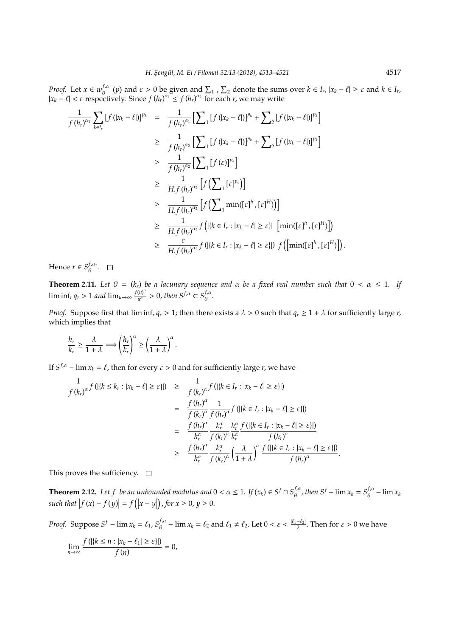*Proof.* Let  $x \in w_{\theta}^{f, \alpha_1}$  $\theta$ ,  $\theta$  and  $\varepsilon > 0$  be given and  $\sum_{1}$ ,  $\sum_{2}$  denote the sums over  $k \in I_r$ ,  $|x_k - \ell| \ge \varepsilon$  and  $k \in I_r$ ,  $|x_k - \ell|$  <  $\varepsilon$  respectively. Since  $f(h_r)^{\alpha_1}$  ≤  $f(h_r)^{\alpha_2}$  for each *r*, we may write

$$
\frac{1}{f(h_r)^{\alpha_1}} \sum_{k \in I_r} [f(|x_k - \ell|)]^{p_k} = \frac{1}{f(h_r)^{\alpha_1}} [\sum_{1} [f(|x_k - \ell|)]^{p_k} + \sum_{2} [f(|x_k - \ell|)]^{p_k}]
$$
\n
$$
\geq \frac{1}{f(h_r)^{\alpha_2}} [\sum_{1} [f(|x_k - \ell|)]^{p_k} + \sum_{2} [f(|x_k - \ell|)]^{p_k}]
$$
\n
$$
\geq \frac{1}{f(h_r)^{\alpha_2}} [\sum_{1} [f(\epsilon)]^{p_k}]
$$
\n
$$
\geq \frac{1}{H f(h_r)^{\alpha_2}} [f(\sum_{1} [\epsilon]^{p_k})]
$$
\n
$$
\geq \frac{1}{H f(h_r)^{\alpha_2}} [f(\sum_{1} \min([\epsilon]^h, [\epsilon]^H))] ]
$$
\n
$$
\geq \frac{1}{H f(h_r)^{\alpha_2}} f([k \in I_r : |x_k - \ell] \geq \epsilon] [\min([\epsilon]^h, [\epsilon]^H)]]
$$
\n
$$
\geq \frac{c}{H f(h_r)^{\alpha_2}} f([k \in I_r : |x_k - \ell] \geq \epsilon]) f([\min([\epsilon]^h, [\epsilon]^H)]].
$$

Hence  $x \in S^{f,\alpha_2}_{\rho}$  $\overset{\cdot \cdot }{\theta }\cdot$ 

**Theorem 2.11.** Let  $\theta = (k_r)$  be a lacunary sequence and  $\alpha$  be a fixed real number such that  $0 < \alpha \leq 1$ . If  $\liminf_{r} q_r > 1$  *and*  $\lim_{u \to \infty} \frac{f(u)^a}{u^a}$  $\frac{(u)^{\alpha}}{u^{\alpha}} > 0$ , then  $S^{f,\alpha} \subset S^{f,\alpha}_{\theta}$  $\overset{\cdot \cdot \cdot }{\theta}$ .

*Proof.* Suppose first that  $\liminf_r q_r > 1$ ; then there exists a  $\lambda > 0$  such that  $q_r \geq 1 + \lambda$  for sufficiently large *r*, which implies that

$$
\frac{h_r}{k_r} \geq \frac{\lambda}{1+\lambda} \Longrightarrow \left(\frac{h_r}{k_r}\right)^\alpha \geq \left(\frac{\lambda}{1+\lambda}\right)^\alpha.
$$

If  $S^{f,\alpha}$  – lim  $x_k = \ell$ , then for every  $\varepsilon > 0$  and for sufficiently large *r*, we have

$$
\frac{1}{f(k_r)^{\alpha}} f(|\{k \le k_r : |x_k - \ell| \ge \varepsilon\}|) \geq \frac{1}{f(k_r)^{\alpha}} f(|\{k \in I_r : |x_k - \ell| \ge \varepsilon\}|)
$$
\n
$$
= \frac{f(k_r)^{\alpha}}{f(k_r)^{\alpha}} \frac{1}{f(k_r)^{\alpha}} f(|\{k \in I_r : |x_k - \ell| \ge \varepsilon\}|)
$$
\n
$$
= \frac{f(k_r)^{\alpha}}{h_r^{\alpha}} \frac{k_r^{\alpha}}{f(k_r)^{\alpha}} \frac{h_r^{\alpha}}{k_r^{\alpha}} \frac{f(|\{k \in I_r : |x_k - \ell| \ge \varepsilon\}|)}{f(k_r)^{\alpha}}
$$
\n
$$
\geq \frac{f(k_r)^{\alpha}}{h_r^{\alpha}} \frac{k_r^{\alpha}}{f(k_r)^{\alpha}} \left(\frac{\lambda}{1 + \lambda}\right)^{\alpha} \frac{f(|\{k \in I_r : |x_k - \ell| \ge \varepsilon\}|)}{f(k_r)^{\alpha}}
$$

This proves the sufficiency.  $\Box$ 

**Theorem 2.12.** Let f be an unbounded modulus and  $0 < \alpha \leq 1$ . If  $(x_k) \in S^f \cap S^f$  $\int_{\theta}^{f,\alpha}$ , then  $S^f$  –  $\lim x_k = S_{\theta}^{f,\alpha}$  $\int_{\theta}^{f,\alpha}$  –  $\lim x_k$  $\int f(x) - f(y) dx = f(x) - y$ ), *for*  $x \ge 0$ ,  $y \ge 0$ .

.

*Proof.* Suppose  $S^f$  – lim  $x_k = \ell_1$ ,  $S^f_a$  $\frac{f_i a}{\theta}$  –  $\lim x_k = \ell_2$  and  $\ell_1 \neq \ell_2$ . Let  $0 < \varepsilon < \frac{|\ell_1 - \ell_2|}{2}$ . Then for  $\varepsilon > 0$  we have

$$
\lim_{n\to\infty}\frac{f(|\{k\leq n : |x_k-\ell_1|\geq \varepsilon\}|)}{f(n)}=0,
$$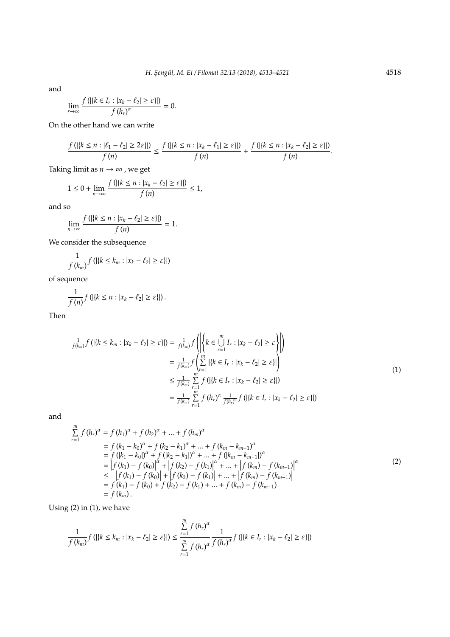and

$$
\lim_{r\to\infty}\frac{f\left(\left|\left\{k\in I_r:|x_k-\ell_2|\geq \varepsilon\right\}\right|\right)}{f\left(h_r\right)^{\alpha}}=0.
$$

On the other hand we can write

$$
\frac{f(|\{k\leq n : |\ell_1-\ell_2|\geq 2\varepsilon\}|)}{f(n)}\leq \frac{f(|\{k\leq n : |x_k-\ell_1|\geq \varepsilon\}|)}{f(n)}+\frac{f(|\{k\leq n : |x_k-\ell_2|\geq \varepsilon\}|)}{f(n)}.
$$

Taking limit as  $n \rightarrow \infty$ , we get

$$
1 \le 0 + \lim_{n \to \infty} \frac{f(|\{k \le n : |x_k - \ell_2| \ge \varepsilon\}|)}{f(n)} \le 1,
$$

and so

$$
\lim_{n\to\infty}\frac{f(|\{k\leq n : |x_k-\ell_2|\geq \varepsilon\}|)}{f(n)}=1.
$$

We consider the subsequence

$$
\frac{1}{f(k_m)}f\left(\left|\{k\leq k_m: |x_k-\ell_2|\geq \varepsilon\}\right|\right)
$$

of sequence

$$
\frac{1}{f(n)}f\left(\left|\left\{k\leq n : |x_k-\ell_2|\geq \varepsilon\right\}\right|\right).
$$

Then

$$
\frac{1}{f(k_m)} f\left( |\{k \le k_m : |x_k - \ell_2| \ge \varepsilon\}| \right) = \frac{1}{f(k_m)} f\left( \left| \{k \in \bigcup_{r=1}^m I_r : |x_k - \ell_2| \ge \varepsilon \} \right| \right) \n= \frac{1}{f(k_m)} f\left( \sum_{r=1}^m | \{k \in I_r : |x_k - \ell_2| \ge \varepsilon\}| \right) \n\le \frac{1}{f(k_m)} \sum_{r=1}^m f\left( |\{k \in I_r : |x_k - \ell_2| \ge \varepsilon\}| \right) \n= \frac{1}{f(k_m)} \sum_{r=1}^m f\left( |h_r\right)^\alpha \frac{1}{f(h_r)^\alpha} f\left( |\{k \in I_r : |x_k - \ell_2| \ge \varepsilon\}| \right)
$$
\n(1)

and

$$
\sum_{r=1}^{m} f (h_r)^{\alpha} = f (h_1)^{\alpha} + f (h_2)^{\alpha} + \dots + f (h_m)^{\alpha}
$$
\n
$$
= f (k_1 - k_0)^{\alpha} + f (k_2 - k_1)^{\alpha} + \dots + f (k_m - k_{m-1})^{\alpha}
$$
\n
$$
= f (|k_1 - k_0|)^{\alpha} + f (|k_2 - k_1|)^{\alpha} + \dots + f (|k_m - k_{m-1}|)^{\alpha}
$$
\n
$$
= |f (k_1) - f (k_0)|^{\alpha} + |f (k_2) - f (k_1)|^{\alpha} + \dots + |f (k_m) - f (k_{m-1})|^{\alpha}
$$
\n
$$
\leq |f (k_1) - f (k_0)| + |f (k_2) - f (k_1)| + \dots + |f (k_m) - f (k_{m-1})|
$$
\n
$$
= f (k_1) - f (k_0) + f (k_2) - f (k_1) + \dots + f (k_m) - f (k_{m-1})
$$
\n
$$
= f (k_m).
$$
\n(2)

Using (2) in (1), we have

$$
\frac{1}{f(k_m)}f\left(\left|\left\{k\leq k_m: |x_k-\ell_2|\geq \varepsilon\right\}\right|\right)\leq \frac{\sum\limits_{r=1}^m f\left(h_r\right)^\alpha}{\sum\limits_{r=1}^m f\left(h_r\right)^\alpha}\frac{1}{f\left(h_r\right)^\alpha}f\left(\left|\left\{k\in I_r: |x_k-\ell_2|\geq \varepsilon\right\}\right|\right)
$$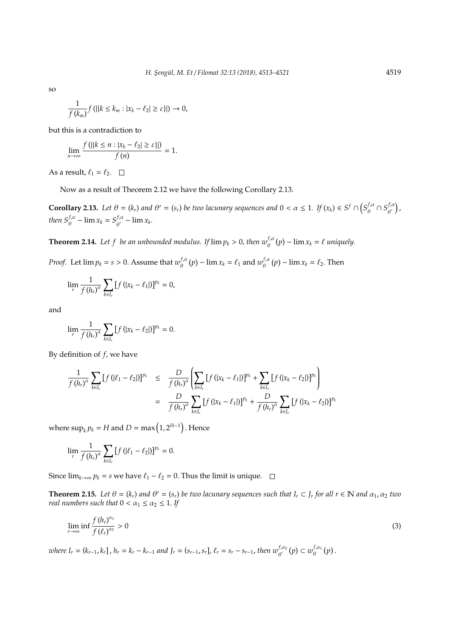so

$$
\frac{1}{f(k_m)}f\left(\left|\left\{k\leq k_m: |x_k-\ell_2|\geq \varepsilon\right\}\right|\right)\to 0,
$$

but this is a contradiction to

$$
\lim_{n\to\infty}\frac{f(|\{k\leq n:|x_k-\ell_2|\geq \varepsilon\}|)}{f(n)}=1.
$$

As a result,  $\ell_1 = \ell_2$ .  $\Box$ 

Now as a result of Theorem 2.12 we have the following Corollary 2.13.

**Corollary 2.13.** Let  $\theta = (k_r)$  and  $\theta' = (s_r)$  be two lacunary sequences and  $0 < \alpha \leq 1$ . If  $(x_k) \in S^f \cap (S^f_\theta)^d$  $\int_{\theta}^{f,\alpha} \cap S_{\theta'}^{f,\alpha}$  $_{\theta ^{\prime }}^{f,\alpha }\big)$  , *then*  $S_{\theta}^{f,\alpha}$  –  $\lim x_k = S_{\theta'}^{f,\alpha}$  $\int_{\theta'}^{f,\alpha}$  –  $\lim x_k$ .

**Theorem 2.14.** Let f be an unbounded modulus. If  $\lim p_k > 0$ , then  $w_{\theta}^{f,\alpha}(p) - \lim x_k = \ell$  uniquely.

*Proof.* Let  $\lim p_k = s > 0$ . Assume that  $w_{\theta}^{f, \alpha}$  $\int_{\theta}^{f,\alpha} (p) - \lim x_k = \ell_1$  and  $w_{\theta}^{f,\alpha}$  $\int_{\theta}^{f,\alpha} (p) - \lim x_k = \ell_2$ . Then

$$
\lim_{r} \frac{1}{f(h_{r})^{\alpha}} \sum_{k \in I_{r}} [f(|x_{k} - \ell_{1}|)]^{p_{k}} = 0,
$$

and

$$
\lim_{r} \frac{1}{f(h_{r})^{\alpha}} \sum_{k \in I_{r}} [f(|x_{k} - \ell_{2}|)]^{p_{k}} = 0.
$$

By definition of *f*, we have

$$
\frac{1}{f(h_r)^{\alpha}} \sum_{k \in I_r} [f(|\ell_1 - \ell_2|)]^{p_k} \leq \frac{D}{f(h_r)^{\alpha}} \left( \sum_{k \in I_r} [f(|x_k - \ell_1|)]^{p_k} + \sum_{k \in I_r} [f(|x_k - \ell_2|)]^{p_k} \right)
$$
\n
$$
= \frac{D}{f(h_r)^{\alpha}} \sum_{k \in I_r} [f(|x_k - \ell_1|)]^{p_k} + \frac{D}{f(h_r)^{\alpha}} \sum_{k \in I_r} [f(|x_k - \ell_2|)]^{p_k}
$$

where  $\sup_k p_k = H$  and  $D = \max\left(1, 2^{H-1}\right)$ . Hence

$$
\lim_{r} \frac{1}{f(h_{r})^{\alpha}} \sum_{k \in I_{r}} [f(|\ell_{1} - \ell_{2}|)]^{p_{k}} = 0.
$$

Since  $\lim_{k\to\infty} p_k = s$  we have  $\ell_1 - \ell_2 = 0$ . Thus the limit is unique.  $□$ 

**Theorem 2.15.** Let  $\theta = (k_r)$  and  $\theta' = (s_r)$  be two lacunary sequences such that  $I_r \subset J_r$  for all  $r \in \mathbb{N}$  and  $\alpha_1, \alpha_2$  two *real numbers such that*  $0 < \alpha_1 \leq \alpha_2 \leq 1$ . If

$$
\lim_{r \to \infty} \inf \frac{f(h_r)^{\alpha_1}}{f(\ell_r)^{\alpha_2}} > 0
$$
\n(3)

where  $I_r = (k_{r-1}, k_r]$ ,  $h_r = k_r - k_{r-1}$  and  $J_r = (s_{r-1}, s_r]$ ,  $\ell_r = s_r - s_{r-1}$ , then  $w_{\theta'}^{f, \alpha_2}(p) \subset w_{\theta}^{f, \alpha_1}(p)$  $_{\theta}^{J,\alpha_1}(p)$ .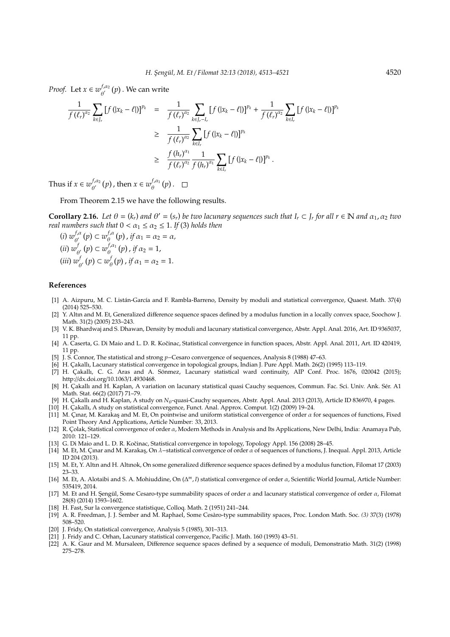*Proof.* Let  $x \in w_{\alpha'}^{f, \alpha_2}$  $\int_{\theta'}^{\theta'} (p)$ . We can write

$$
\frac{1}{f(\ell_r)^{\alpha_2}} \sum_{k \in J_r} [f(|x_k - \ell|)]^{p_k} = \frac{1}{f(\ell_r)^{\alpha_2}} \sum_{k \in J_r - I_r} [f(|x_k - \ell|)]^{p_k} + \frac{1}{f(\ell_r)^{\alpha_2}} \sum_{k \in I_r} [f(|x_k - \ell|)]^{p_k}
$$
\n
$$
\geq \frac{1}{f(\ell_r)^{\alpha_2}} \sum_{k \in I_r} [f(|x_k - \ell|)]^{p_k}
$$
\n
$$
\geq \frac{f(h_r)^{\alpha_1}}{f(\ell_r)^{\alpha_2}} \frac{1}{f(h_r)^{\alpha_1}} \sum_{k \in I_r} [f(|x_k - \ell|)]^{p_k}.
$$

Thus if  $x \in w_{a'}^{f, \alpha_2}$  $\int_{\theta'}^{f,\alpha_2} (p)$ , then  $x \in w_{\theta}^{f,\alpha_1}$  $\int_{\theta}^{f,\alpha_1}(p)$ .

From Theorem 2.15 we have the following results.

**Corollary 2.16.** Let  $\theta = (k_r)$  and  $\theta' = (s_r)$  be two lacunary sequences such that  $I_r \subset J_r$  for all  $r \in \mathbb{N}$  and  $\alpha_1, \alpha_2$  two *real numbers such that*  $0 < \alpha_1 \leq \alpha_2 \leq 1$ . *If* (3) *holds then* 

(*i*)  $w_{\alpha'}^{f,\alpha}$  $\theta'_{\cdot}(\rho) \subset w_{\theta}^{f,\alpha}$  $\int_{\theta}^{J,\alpha} (p)$ , if  $\alpha_1 = \alpha_2 = \alpha$ ,  $(iii) w<sub>i</sub><sup>f</sup>$  $\theta'_{\theta}(p) \subset w_{\theta}^{f,\alpha_1}$  $\int_{\theta}^{f,\alpha_1}(p)$ , if  $\alpha_2=1$ , (*iii*) *w f*  $\phi'_{\theta'}(p) \subset w_{\theta}^f$  $\int_{\theta}^{J} (p)$ , if  $\alpha_1 = \alpha_2 = 1$ .

### **References**

- [1] A. Aizpuru, M. C. Listán-García and F. Rambla-Barreno, Density by moduli and statistical convergence, Quaest. Math. 37(4) (2014) 525–530.
- [2] Y. Altın and M. Et, Generalized difference sequence spaces defined by a modulus function in a locally convex space, Soochow J. Math. 31(2) (2005) 233–243.
- [3] V. K. Bhardwaj and S. Dhawan, Density by moduli and lacunary statistical convergence, Abstr. Appl. Anal. 2016, Art. ID 9365037, 11 pp.
- [4] A. Caserta, G. Di Maio and L. D. R. Kočinac, Statistical convergence in function spaces, Abstr. Appl. Anal. 2011, Art. ID 420419, 11 pp.
- [5] J. S. Connor, The statistical and strong *p*−Cesaro convergence of sequences, Analysis 8 (1988) 47–63.
- [6] H. Çakallı, Lacunary statistical convergence in topological groups, Indian J. Pure Appl. Math. 26(2) (1995) 113-119.
- [7] H. Çakallı, C. G. Aras and A. Sönmez, Lacunary statistical ward continuity, AIP Conf. Proc. 1676, 020042 (2015); http://dx.doi.org/10.1063/1.4930468.
- [8] H. Cakallı and H. Kaplan, A variation on lacunary statistical quasi Cauchy sequences, Commun. Fac. Sci. Univ. Ank. Sér. A1 Math. Stat. 66(2) (2017) 71–79.
- [9] H. Çakallı and H. Kaplan, A study on *N*<sub>θ</sub>-quasi-Cauchy sequences, Abstr. Appl. Anal. 2013 (2013), Article ID 836970, 4 pages.
- [10] H. Cakallı, A study on statistical convergence, Funct. Anal. Approx. Comput. 1(2) (2009) 19–24.
- [11] M. Çmar, M. Karakaş and M. Et, On pointwise and uniform statistical convergence of order  $\alpha$  for sequences of functions, Fixed Point Theory And Applications, Article Number: 33, 2013.
- [12] R. C¸ olak, Statistical convergence of order α, Modern Methods in Analysis and Its Applications, New Delhi, India: Anamaya Pub, 2010: 121–129.
- [13] G. Di Maio and L. D. R. Kočinac, Statistical convergence in topology, Topology Appl. 156 (2008) 28–45.
- [14] M. Et, M. Çınar and M. Karakaş, On λ-statistical convergence of order α of sequences of functions, J. Inequal. Appl. 2013, Article ID 204 (2013).
- [15] M. Et, Y. Altın and H. Altınok, On some generalized difference sequence spaces defined by a modulus function, Filomat 17 (2003) 23–33.
- [16] M. Et, A. Alotaibi and S. A. Mohiuddine, On (∆ *<sup>m</sup>*, *I*) statistical convergence of order α, Scientific World Journal, Article Number: 535419, 2014.
- [17] M. Et and H. Sengül, Some Cesaro-type summability spaces of order  $\alpha$  and lacunary statistical convergence of order  $\alpha$ , Filomat 28(8) (2014) 1593–1602.
- [18] H. Fast, Sur la convergence statistique, Colloq. Math. 2 (1951) 241–244.
- [19] A. R. Freedman, J. J. Sember and M. Raphael, Some Cesaro-type summability spaces, Proc. London Math. Soc. ` *(3)* 37(3) (1978) 508–520.
- [20] J. Fridy, On statistical convergence, Analysis 5 (1985), 301–313.
- [21] J. Fridy and C. Orhan, Lacunary statistical convergence, Pacific J. Math. 160 (1993) 43–51.
- [22] A. K. Gaur and M. Mursaleen, Difference sequence spaces defined by a sequence of moduli, Demonstratio Math. 31(2) (1998) 275–278.